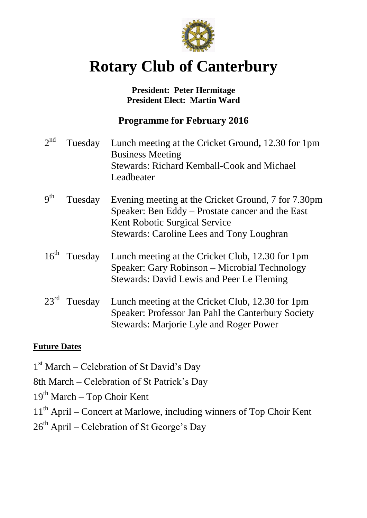

# **Rotary Club of Canterbury**

## **President: Peter Hermitage President Elect: Martin Ward**

## **Programme for February 2016**

| $2^{nd}$         | Tuesday | Lunch meeting at the Cricket Ground, 12.30 for 1pm<br><b>Business Meeting</b><br><b>Stewards: Richard Kemball-Cook and Michael</b><br>Leadbeater                                             |
|------------------|---------|----------------------------------------------------------------------------------------------------------------------------------------------------------------------------------------------|
| $q^{th}$         | Tuesday | Evening meeting at the Cricket Ground, 7 for 7.30pm<br>Speaker: Ben Eddy – Prostate cancer and the East<br>Kent Robotic Surgical Service<br><b>Stewards: Caroline Lees and Tony Loughran</b> |
| $16^{th}$        | Tuesday | Lunch meeting at the Cricket Club, 12.30 for 1pm<br>Speaker: Gary Robinson – Microbial Technology<br>Stewards: David Lewis and Peer Le Fleming                                               |
| $23^{\text{rd}}$ | Tuesday | Lunch meeting at the Cricket Club, 12.30 for 1pm<br>Speaker: Professor Jan Pahl the Canterbury Society<br>Stewards: Marjorie Lyle and Roger Power                                            |

## **Future Dates**

- 1<sup>st</sup> March Celebration of St David's Day
- 8th March Celebration of St Patrick's Day
- 19<sup>th</sup> March Top Choir Kent
- 11<sup>th</sup> April Concert at Marlowe, including winners of Top Choir Kent
- $26<sup>th</sup>$  April Celebration of St George's Day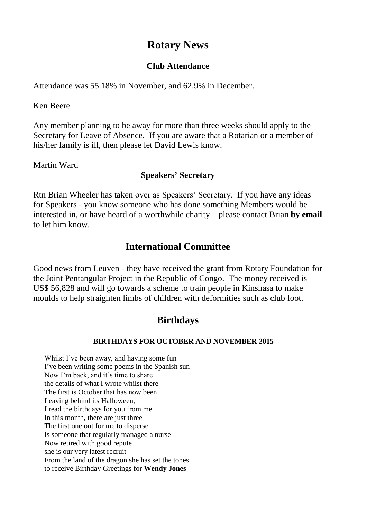# **Rotary News**

#### **Club Attendance**

Attendance was 55.18% in November, and 62.9% in December.

Ken Beere

Any member planning to be away for more than three weeks should apply to the Secretary for Leave of Absence. If you are aware that a Rotarian or a member of his/her family is ill, then please let David Lewis know.

Martin Ward

### **Speakers' Secretary**

Rtn Brian Wheeler has taken over as Speakers' Secretary. If you have any ideas for Speakers - you know someone who has done something Members would be interested in, or have heard of a worthwhile charity – please contact Brian **by email**  to let him know.

## **International Committee**

Good news from Leuven - they have received the grant from Rotary Foundation for the Joint Pentangular Project in the Republic of Congo. The money received is US\$ 56,828 and will go towards a scheme to train people in Kinshasa to make moulds to help straighten limbs of children with deformities such as club foot.

## **Birthdays**

#### **BIRTHDAYS FOR OCTOBER AND NOVEMBER 2015**

Whilst I've been away, and having some fun I've been writing some poems in the Spanish sun Now I'm back, and it's time to share the details of what I wrote whilst there The first is October that has now been Leaving behind its Halloween, I read the birthdays for you from me In this month, there are just three The first one out for me to disperse Is someone that regularly managed a nurse Now retired with good repute she is our very latest recruit From the land of the dragon she has set the tones to receive Birthday Greetings for **Wendy Jones**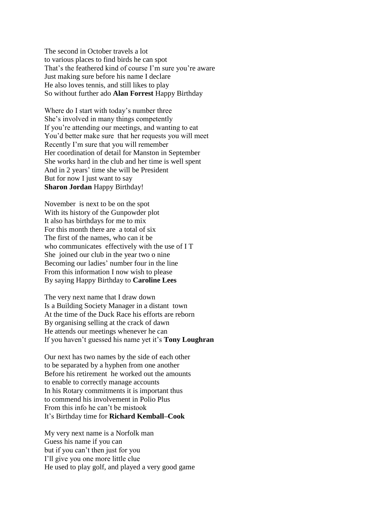The second in October travels a lot to various places to find birds he can spot That's the feathered kind of course I'm sure you're aware Just making sure before his name I declare He also loves tennis, and still likes to play So without further ado **Alan Forrest** Happy Birthday

Where do I start with today's number three She's involved in many things competently If you're attending our meetings, and wanting to eat You'd better make sure that her requests you will meet Recently I'm sure that you will remember Her coordination of detail for Manston in September She works hard in the club and her time is well spent And in 2 years' time she will be President But for now I just want to say **Sharon Jordan** Happy Birthday!

November is next to be on the spot With its history of the Gunpowder plot It also has birthdays for me to mix For this month there are a total of six The first of the names, who can it be who communicates effectively with the use of I T She joined our club in the year two o nine Becoming our ladies' number four in the line From this information I now wish to please By saying Happy Birthday to **Caroline Lees**

The very next name that I draw down Is a Building Society Manager in a distant town At the time of the Duck Race his efforts are reborn By organising selling at the crack of dawn He attends our meetings whenever he can If you haven't guessed his name yet it's **Tony Loughran**

Our next has two names by the side of each other to be separated by a hyphen from one another Before his retirement he worked out the amounts to enable to correctly manage accounts In his Rotary commitments it is important thus to commend his involvement in Polio Plus From this info he can't be mistook It's Birthday time for **Richard Kemball–Cook**

My very next name is a Norfolk man Guess his name if you can but if you can't then just for you I'll give you one more little clue He used to play golf, and played a very good game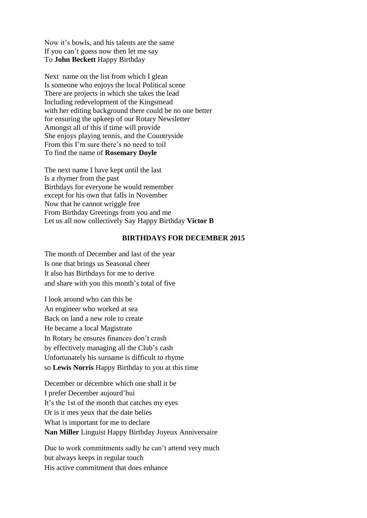Now it's bowls, and his talents are the same If you can't guess now then let me say To **John Beckett** Happy Birthday

Next name on the list from which I glean Is someone who enjoys the local Political scene There are projects in which she takes the lead Including redevelopment of the Kingsmead with her editing background there could be no one better for ensuring the upkeep of our Rotary Newsletter Amongst all of this if time will provide She enjoys playing tennis, and the Countryside From this I'm sure there's no need to toil To find the name of **Rosemary Doyle**

The next name I have kept until the last Is a rhymer from the past Birthdays for everyone he would remember except for his own that falls in November Now that he cannot wriggle free From Birthday Greetings from you and me Let us all now collectively Say Happy Birthday **Victor B**

#### **BIRTHDAYS FOR DECEMBER 2015**

The month of December and last of the year Is one that brings us Seasonal cheer It also has Birthdays for me to derive and share with you this month's total of five

I look around who can this be An engineer who worked at sea Back on land a new role to create He became a local Magistrate In Rotary he ensures finances don't crash by effectively managing all the Club's cash Unfortunately his surname is difficult to rhyme so **Lewis Norris** Happy Birthday to you at this time

December or décembre which one shall it be I prefer December aujourd'hui It's the 1st of the month that catches my eyes Or is it mes yeux that the date belies What is important for me to declare **Nan Miller** Linguist Happy Birthday Joyeux Anniversaire

Due to work commitments sadly he can't attend very much but always keeps in regular touch His active commitment that does enhance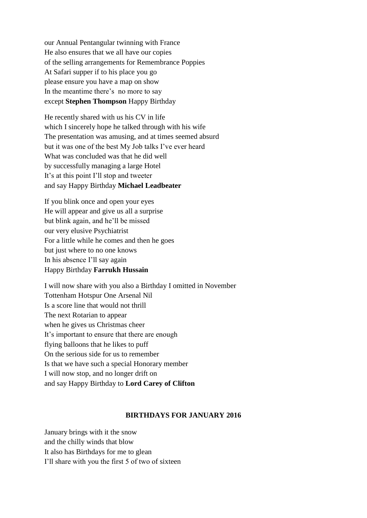our Annual Pentangular twinning with France He also ensures that we all have our copies of the selling arrangements for Remembrance Poppies At Safari supper if to his place you go please ensure you have a map on show In the meantime there's no more to say except **Stephen Thompson** Happy Birthday

He recently shared with us his CV in life which I sincerely hope he talked through with his wife The presentation was amusing, and at times seemed absurd but it was one of the best My Job talks I've ever heard What was concluded was that he did well by successfully managing a large Hotel It's at this point I'll stop and tweeter and say Happy Birthday **Michael Leadbeater**

If you blink once and open your eyes He will appear and give us all a surprise but blink again, and he'll be missed our very elusive Psychiatrist For a little while he comes and then he goes but just where to no one knows In his absence I'll say again Happy Birthday **Farrukh Hussain**

I will now share with you also a Birthday I omitted in November Tottenham Hotspur One Arsenal Nil Is a score line that would not thrill The next Rotarian to appear when he gives us Christmas cheer It's important to ensure that there are enough flying balloons that he likes to puff On the serious side for us to remember Is that we have such a special Honorary member I will now stop, and no longer drift on and say Happy Birthday to **Lord Carey of Clifton**

#### **BIRTHDAYS FOR JANUARY 2016**

January brings with it the snow and the chilly winds that blow It also has Birthdays for me to glean I'll share with you the first 5 of two of sixteen